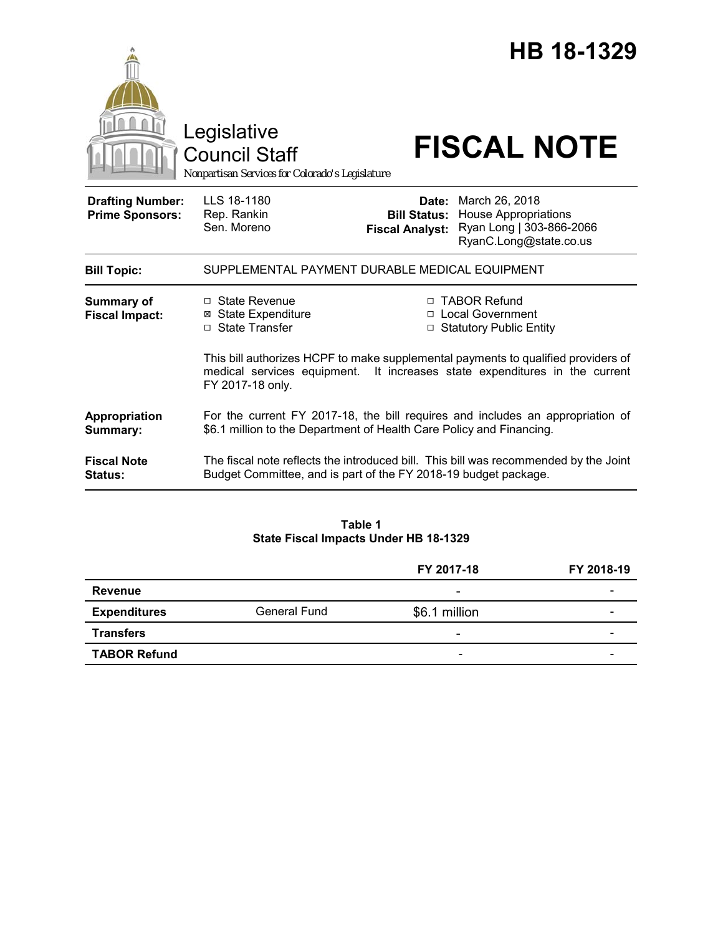|                                                   | Legislative<br><b>Council Staff</b><br>Nonpartisan Services for Colorado's Legislature                                                                 |                                                        | HB 18-1329<br><b>FISCAL NOTE</b>                                                                                                                       |
|---------------------------------------------------|--------------------------------------------------------------------------------------------------------------------------------------------------------|--------------------------------------------------------|--------------------------------------------------------------------------------------------------------------------------------------------------------|
| <b>Drafting Number:</b><br><b>Prime Sponsors:</b> | LLS 18-1180<br>Rep. Rankin<br>Sen. Moreno                                                                                                              | Date:<br><b>Bill Status:</b><br><b>Fiscal Analyst:</b> | March 26, 2018<br><b>House Appropriations</b><br>Ryan Long   303-866-2066<br>RyanC.Long@state.co.us                                                    |
| <b>Bill Topic:</b>                                | SUPPLEMENTAL PAYMENT DURABLE MEDICAL EQUIPMENT                                                                                                         |                                                        |                                                                                                                                                        |
| Summary of<br><b>Fiscal Impact:</b>               | □ State Revenue<br><b>State Expenditure</b><br>⊠<br>□ State Transfer                                                                                   |                                                        | □ TABOR Refund<br>□ Local Government<br>□ Statutory Public Entity<br>This bill authorizes HCPF to make supplemental payments to qualified providers of |
|                                                   | medical services equipment. It increases state expenditures in the current<br>FY 2017-18 only.                                                         |                                                        |                                                                                                                                                        |
| Appropriation<br>Summary:                         | For the current FY 2017-18, the bill requires and includes an appropriation of<br>\$6.1 million to the Department of Health Care Policy and Financing. |                                                        |                                                                                                                                                        |
| <b>Fiscal Note</b><br><b>Status:</b>              | Budget Committee, and is part of the FY 2018-19 budget package.                                                                                        |                                                        | The fiscal note reflects the introduced bill. This bill was recommended by the Joint                                                                   |

# **Table 1 State Fiscal Impacts Under HB 18-1329**

|                     |                     | FY 2017-18                   | FY 2018-19 |
|---------------------|---------------------|------------------------------|------------|
| <b>Revenue</b>      |                     | $\overline{\phantom{a}}$     |            |
| <b>Expenditures</b> | <b>General Fund</b> | \$6.1 million                | -          |
| <b>Transfers</b>    |                     | $\overline{\phantom{a}}$     | -          |
| <b>TABOR Refund</b> |                     | $\qquad \qquad \blacksquare$ | -          |